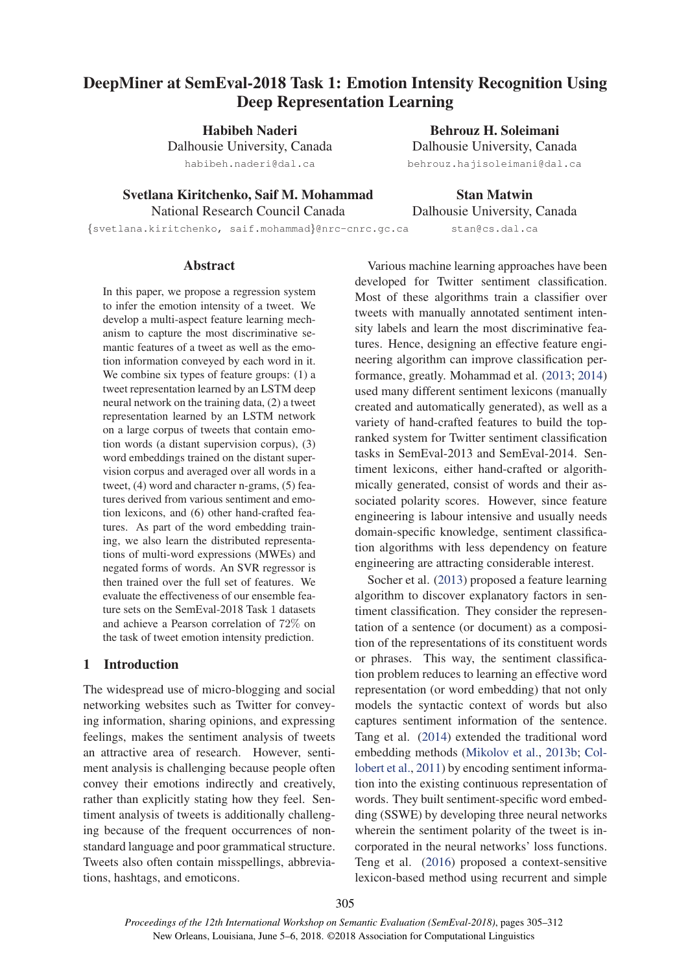# DeepMiner at SemEval-2018 Task 1: Emotion Intensity Recognition Using Deep Representation Learning

Habibeh Naderi

Dalhousie University, Canada habibeh.naderi@dal.ca

Behrouz H. Soleimani Dalhousie University, Canada behrouz.hajisoleimani@dal.ca

Svetlana Kiritchenko, Saif M. Mohammad National Research Council Canada

Stan Matwin Dalhousie University, Canada stan@cs.dal.ca

{svetlana.kiritchenko, saif.mohammad}@nrc-cnrc.gc.ca

### Abstract

In this paper, we propose a regression system to infer the emotion intensity of a tweet. We develop a multi-aspect feature learning mechanism to capture the most discriminative semantic features of a tweet as well as the emotion information conveyed by each word in it. We combine six types of feature groups: (1) a tweet representation learned by an LSTM deep neural network on the training data, (2) a tweet representation learned by an LSTM network on a large corpus of tweets that contain emotion words (a distant supervision corpus), (3) word embeddings trained on the distant supervision corpus and averaged over all words in a tweet, (4) word and character n-grams, (5) features derived from various sentiment and emotion lexicons, and (6) other hand-crafted features. As part of the word embedding training, we also learn the distributed representations of multi-word expressions (MWEs) and negated forms of words. An SVR regressor is then trained over the full set of features. We evaluate the effectiveness of our ensemble feature sets on the SemEval-2018 Task 1 datasets and achieve a Pearson correlation of 72% on the task of tweet emotion intensity prediction.

# 1 Introduction

The widespread use of micro-blogging and social networking websites such as Twitter for conveying information, sharing opinions, and expressing feelings, makes the sentiment analysis of tweets an attractive area of research. However, sentiment analysis is challenging because people often convey their emotions indirectly and creatively, rather than explicitly stating how they feel. Sentiment analysis of tweets is additionally challenging because of the frequent occurrences of nonstandard language and poor grammatical structure. Tweets also often contain misspellings, abbreviations, hashtags, and emoticons.

Various machine learning approaches have been developed for Twitter sentiment classification. Most of these algorithms train a classifier over tweets with manually annotated sentiment intensity labels and learn the most discriminative features. Hence, designing an effective feature engineering algorithm can improve classification performance, greatly. Mohammad et al. (2013; 2014) used many different sentiment lexicons (manually created and automatically generated), as well as a variety of hand-crafted features to build the topranked system for Twitter sentiment classification tasks in SemEval-2013 and SemEval-2014. Sentiment lexicons, either hand-crafted or algorithmically generated, consist of words and their associated polarity scores. However, since feature engineering is labour intensive and usually needs domain-specific knowledge, sentiment classification algorithms with less dependency on feature engineering are attracting considerable interest.

Socher et al. (2013) proposed a feature learning algorithm to discover explanatory factors in sentiment classification. They consider the representation of a sentence (or document) as a composition of the representations of its constituent words or phrases. This way, the sentiment classification problem reduces to learning an effective word representation (or word embedding) that not only models the syntactic context of words but also captures sentiment information of the sentence. Tang et al. (2014) extended the traditional word embedding methods (Mikolov et al., 2013b; Collobert et al., 2011) by encoding sentiment information into the existing continuous representation of words. They built sentiment-specific word embedding (SSWE) by developing three neural networks wherein the sentiment polarity of the tweet is incorporated in the neural networks' loss functions. Teng et al. (2016) proposed a context-sensitive lexicon-based method using recurrent and simple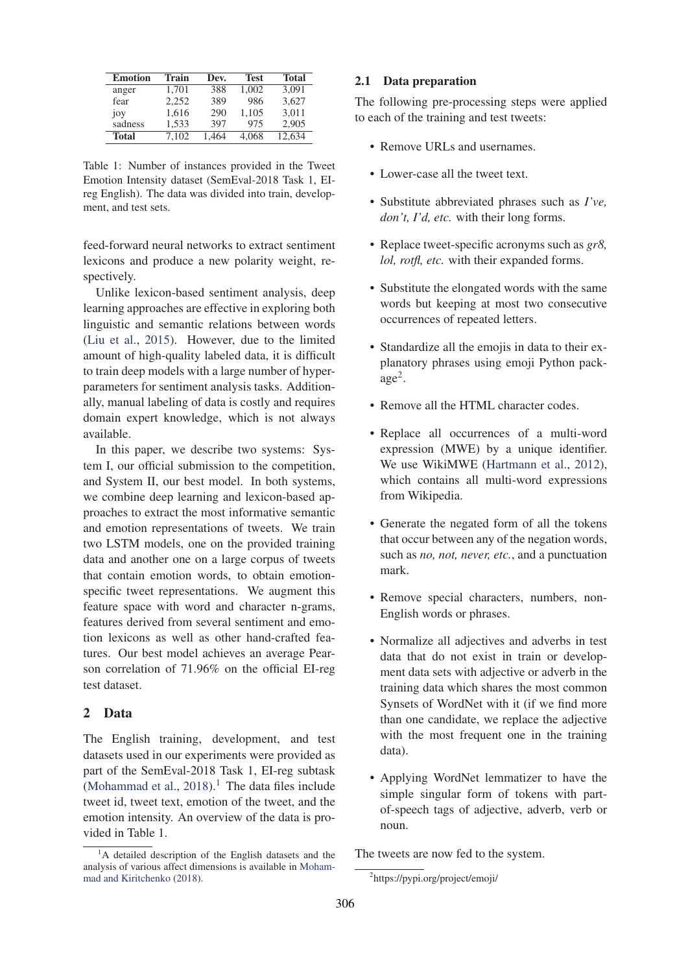| <b>Emotion</b> | Train | Dev.  | <b>Test</b> | <b>Total</b> |
|----------------|-------|-------|-------------|--------------|
| anger          | 1.701 | 388   | 1.002       | 3.091        |
| fear           | 2,252 | 389   | 986         | 3.627        |
| joy            | 1,616 | 290   | 1,105       | 3.011        |
| sadness        | 1.533 | 397   | 975         | 2.905        |
| <b>Total</b>   | 7.102 | 1.464 | 4.068       | 12,634       |

Table 1: Number of instances provided in the Tweet Emotion Intensity dataset (SemEval-2018 Task 1, EIreg English). The data was divided into train, development, and test sets.

feed-forward neural networks to extract sentiment lexicons and produce a new polarity weight, respectively.

Unlike lexicon-based sentiment analysis, deep learning approaches are effective in exploring both linguistic and semantic relations between words (Liu et al., 2015). However, due to the limited amount of high-quality labeled data, it is difficult to train deep models with a large number of hyperparameters for sentiment analysis tasks. Additionally, manual labeling of data is costly and requires domain expert knowledge, which is not always available.

In this paper, we describe two systems: System I, our official submission to the competition, and System II, our best model. In both systems, we combine deep learning and lexicon-based approaches to extract the most informative semantic and emotion representations of tweets. We train two LSTM models, one on the provided training data and another one on a large corpus of tweets that contain emotion words, to obtain emotionspecific tweet representations. We augment this feature space with word and character n-grams, features derived from several sentiment and emotion lexicons as well as other hand-crafted features. Our best model achieves an average Pearson correlation of 71.96% on the official EI-reg test dataset.

# 2 Data

The English training, development, and test datasets used in our experiments were provided as part of the SemEval-2018 Task 1, EI-reg subtask (Mohammad et al.,  $2018$ ).<sup>1</sup> The data files include tweet id, tweet text, emotion of the tweet, and the emotion intensity. An overview of the data is provided in Table 1.

### 2.1 Data preparation

The following pre-processing steps were applied to each of the training and test tweets:

- Remove URLs and usernames.
- Lower-case all the tweet text.
- Substitute abbreviated phrases such as *I've, don't, I'd, etc.* with their long forms.
- Replace tweet-specific acronyms such as *gr8, lol, rotfl, etc.* with their expanded forms.
- Substitute the elongated words with the same words but keeping at most two consecutive occurrences of repeated letters.
- Standardize all the emojis in data to their explanatory phrases using emoji Python pack- $\text{age}^2$ .
- Remove all the HTML character codes.
- Replace all occurrences of a multi-word expression (MWE) by a unique identifier. We use WikiMWE (Hartmann et al., 2012), which contains all multi-word expressions from Wikipedia.
- Generate the negated form of all the tokens that occur between any of the negation words, such as *no, not, never, etc.*, and a punctuation mark.
- Remove special characters, numbers, non-English words or phrases.
- Normalize all adjectives and adverbs in test data that do not exist in train or development data sets with adjective or adverb in the training data which shares the most common Synsets of WordNet with it (if we find more than one candidate, we replace the adjective with the most frequent one in the training data).
- Applying WordNet lemmatizer to have the simple singular form of tokens with partof-speech tags of adjective, adverb, verb or noun.

The tweets are now fed to the system.

<sup>&</sup>lt;sup>1</sup>A detailed description of the English datasets and the analysis of various affect dimensions is available in Mohammad and Kiritchenko (2018).

<sup>2</sup> https://pypi.org/project/emoji/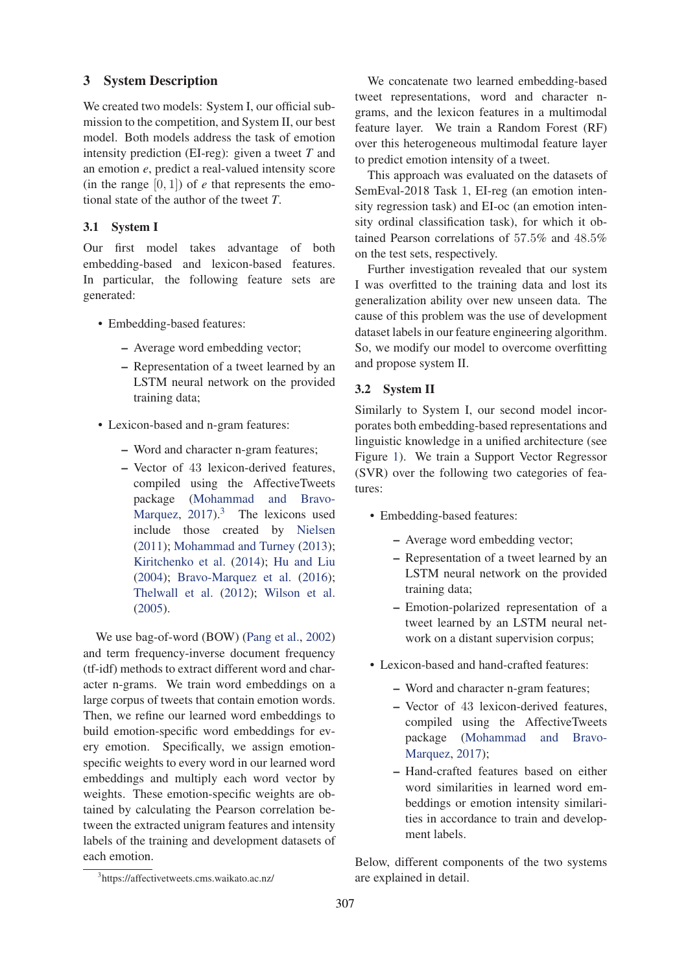# 3 System Description

We created two models: System I, our official submission to the competition, and System II, our best model. Both models address the task of emotion intensity prediction (EI-reg): given a tweet *T* and an emotion *e*, predict a real-valued intensity score (in the range  $[0, 1]$ ) of *e* that represents the emotional state of the author of the tweet *T*.

# 3.1 System I

Our first model takes advantage of both embedding-based and lexicon-based features. In particular, the following feature sets are generated:

- Embedding-based features:
	- Average word embedding vector;
	- Representation of a tweet learned by an LSTM neural network on the provided training data;
- Lexicon-based and n-gram features:
	- Word and character n-gram features;
	- Vector of 43 lexicon-derived features, compiled using the AffectiveTweets package (Mohammad and Bravo-Marquez,  $2017$ ).<sup>3</sup> The lexicons used include those created by Nielsen (2011); Mohammad and Turney (2013); Kiritchenko et al. (2014); Hu and Liu (2004); Bravo-Marquez et al. (2016); Thelwall et al. (2012); Wilson et al. (2005).

We use bag-of-word (BOW) (Pang et al., 2002) and term frequency-inverse document frequency (tf-idf) methods to extract different word and character n-grams. We train word embeddings on a large corpus of tweets that contain emotion words. Then, we refine our learned word embeddings to build emotion-specific word embeddings for every emotion. Specifically, we assign emotionspecific weights to every word in our learned word embeddings and multiply each word vector by weights. These emotion-specific weights are obtained by calculating the Pearson correlation between the extracted unigram features and intensity labels of the training and development datasets of each emotion.

We concatenate two learned embedding-based tweet representations, word and character ngrams, and the lexicon features in a multimodal feature layer. We train a Random Forest (RF) over this heterogeneous multimodal feature layer to predict emotion intensity of a tweet.

This approach was evaluated on the datasets of SemEval-2018 Task 1, EI-reg (an emotion intensity regression task) and EI-oc (an emotion intensity ordinal classification task), for which it obtained Pearson correlations of 57.5% and 48.5% on the test sets, respectively.

Further investigation revealed that our system I was overfitted to the training data and lost its generalization ability over new unseen data. The cause of this problem was the use of development dataset labels in our feature engineering algorithm. So, we modify our model to overcome overfitting and propose system II.

# 3.2 System II

Similarly to System I, our second model incorporates both embedding-based representations and linguistic knowledge in a unified architecture (see Figure 1). We train a Support Vector Regressor (SVR) over the following two categories of features:

- Embedding-based features:
	- Average word embedding vector;
	- Representation of a tweet learned by an LSTM neural network on the provided training data;
	- Emotion-polarized representation of a tweet learned by an LSTM neural network on a distant supervision corpus;
- Lexicon-based and hand-crafted features:
	- Word and character n-gram features;
	- Vector of 43 lexicon-derived features, compiled using the AffectiveTweets package (Mohammad and Bravo-Marquez, 2017);
	- Hand-crafted features based on either word similarities in learned word embeddings or emotion intensity similarities in accordance to train and development labels.

Below, different components of the two systems are explained in detail.

<sup>3</sup> https://affectivetweets.cms.waikato.ac.nz/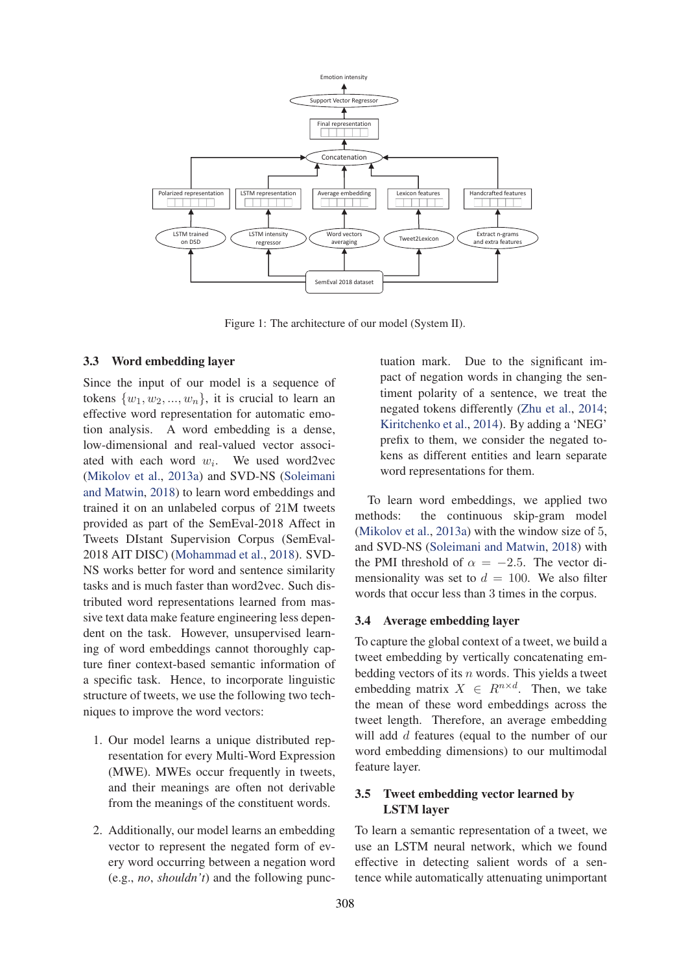

Figure 1: The architecture of our model (System II).

#### 3.3 Word embedding layer

Since the input of our model is a sequence of tokens  $\{w_1, w_2, ..., w_n\}$ , it is crucial to learn an effective word representation for automatic emotion analysis. A word embedding is a dense, low-dimensional and real-valued vector associated with each word  $w_i$ . We used word2vec (Mikolov et al., 2013a) and SVD-NS (Soleimani and Matwin, 2018) to learn word embeddings and trained it on an unlabeled corpus of 21M tweets provided as part of the SemEval-2018 Affect in Tweets DIstant Supervision Corpus (SemEval-2018 AIT DISC) (Mohammad et al., 2018). SVD-NS works better for word and sentence similarity tasks and is much faster than word2vec. Such distributed word representations learned from massive text data make feature engineering less dependent on the task. However, unsupervised learning of word embeddings cannot thoroughly capture finer context-based semantic information of a specific task. Hence, to incorporate linguistic structure of tweets, we use the following two techniques to improve the word vectors:

- 1. Our model learns a unique distributed representation for every Multi-Word Expression (MWE). MWEs occur frequently in tweets, and their meanings are often not derivable from the meanings of the constituent words.
- 2. Additionally, our model learns an embedding vector to represent the negated form of every word occurring between a negation word (e.g., *no*, *shouldn't*) and the following punc-

tuation mark. Due to the significant impact of negation words in changing the sentiment polarity of a sentence, we treat the negated tokens differently (Zhu et al., 2014; Kiritchenko et al., 2014). By adding a 'NEG' prefix to them, we consider the negated tokens as different entities and learn separate word representations for them.

To learn word embeddings, we applied two methods: the continuous skip-gram model (Mikolov et al., 2013a) with the window size of 5, and SVD-NS (Soleimani and Matwin, 2018) with the PMI threshold of  $\alpha = -2.5$ . The vector dimensionality was set to  $d = 100$ . We also filter words that occur less than 3 times in the corpus.

#### 3.4 Average embedding layer

To capture the global context of a tweet, we build a tweet embedding by vertically concatenating embedding vectors of its  $n$  words. This yields a tweet embedding matrix  $X \in R^{n \times d}$ . Then, we take the mean of these word embeddings across the tweet length. Therefore, an average embedding will add d features (equal to the number of our word embedding dimensions) to our multimodal feature layer.

### 3.5 Tweet embedding vector learned by LSTM layer

To learn a semantic representation of a tweet, we use an LSTM neural network, which we found effective in detecting salient words of a sentence while automatically attenuating unimportant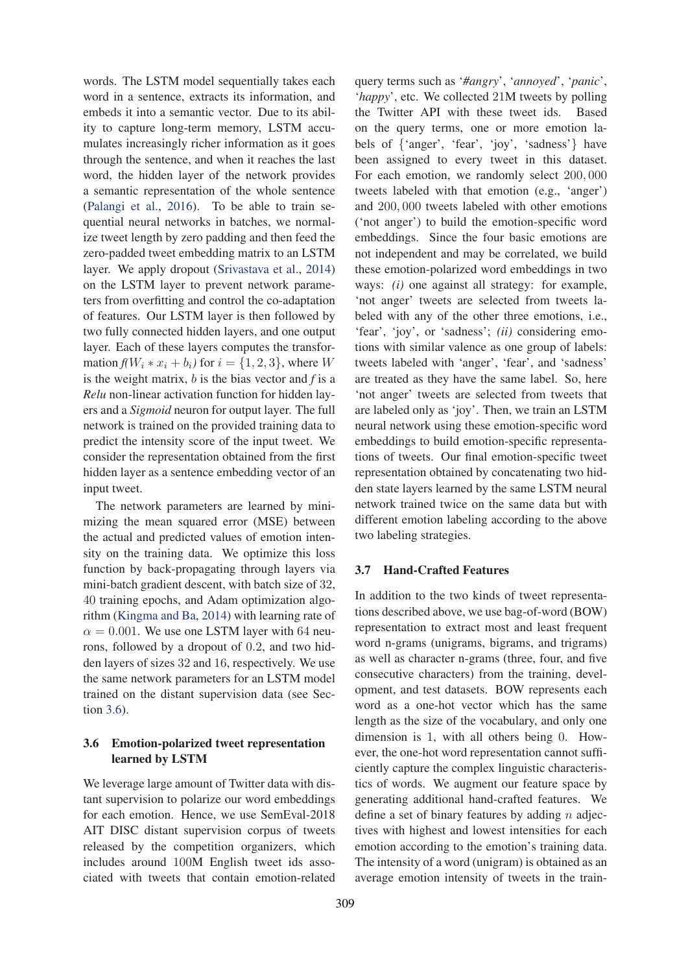words. The LSTM model sequentially takes each word in a sentence, extracts its information, and embeds it into a semantic vector. Due to its ability to capture long-term memory, LSTM accumulates increasingly richer information as it goes through the sentence, and when it reaches the last word, the hidden layer of the network provides a semantic representation of the whole sentence (Palangi et al., 2016). To be able to train sequential neural networks in batches, we normalize tweet length by zero padding and then feed the zero-padded tweet embedding matrix to an LSTM layer. We apply dropout (Srivastava et al., 2014) on the LSTM layer to prevent network parameters from overfitting and control the co-adaptation of features. Our LSTM layer is then followed by two fully connected hidden layers, and one output layer. Each of these layers computes the transformation  $f(W_i * x_i + b_i)$  for  $i = \{1, 2, 3\}$ , where W is the weight matrix, b is the bias vector and *f* is a *Relu* non-linear activation function for hidden layers and a *Sigmoid* neuron for output layer. The full network is trained on the provided training data to predict the intensity score of the input tweet. We consider the representation obtained from the first hidden layer as a sentence embedding vector of an input tweet.

The network parameters are learned by minimizing the mean squared error (MSE) between the actual and predicted values of emotion intensity on the training data. We optimize this loss function by back-propagating through layers via mini-batch gradient descent, with batch size of 32, 40 training epochs, and Adam optimization algorithm (Kingma and Ba, 2014) with learning rate of  $\alpha = 0.001$ . We use one LSTM layer with 64 neurons, followed by a dropout of 0.2, and two hidden layers of sizes 32 and 16, respectively. We use the same network parameters for an LSTM model trained on the distant supervision data (see Section 3.6).

# 3.6 Emotion-polarized tweet representation learned by LSTM

We leverage large amount of Twitter data with distant supervision to polarize our word embeddings for each emotion. Hence, we use SemEval-2018 AIT DISC distant supervision corpus of tweets released by the competition organizers, which includes around 100M English tweet ids associated with tweets that contain emotion-related

query terms such as '*#angry*', '*annoyed*', '*panic*', '*happy*', etc. We collected 21M tweets by polling the Twitter API with these tweet ids. Based on the query terms, one or more emotion labels of {'anger', 'fear', 'joy', 'sadness'} have been assigned to every tweet in this dataset. For each emotion, we randomly select 200, 000 tweets labeled with that emotion (e.g., 'anger') and 200, 000 tweets labeled with other emotions ('not anger') to build the emotion-specific word embeddings. Since the four basic emotions are not independent and may be correlated, we build these emotion-polarized word embeddings in two ways: *(i)* one against all strategy: for example, 'not anger' tweets are selected from tweets labeled with any of the other three emotions, i.e., 'fear', 'joy', or 'sadness'; *(ii)* considering emotions with similar valence as one group of labels: tweets labeled with 'anger', 'fear', and 'sadness' are treated as they have the same label. So, here 'not anger' tweets are selected from tweets that are labeled only as 'joy'. Then, we train an LSTM neural network using these emotion-specific word embeddings to build emotion-specific representations of tweets. Our final emotion-specific tweet representation obtained by concatenating two hidden state layers learned by the same LSTM neural network trained twice on the same data but with different emotion labeling according to the above two labeling strategies.

### 3.7 Hand-Crafted Features

In addition to the two kinds of tweet representations described above, we use bag-of-word (BOW) representation to extract most and least frequent word n-grams (unigrams, bigrams, and trigrams) as well as character n-grams (three, four, and five consecutive characters) from the training, development, and test datasets. BOW represents each word as a one-hot vector which has the same length as the size of the vocabulary, and only one dimension is 1, with all others being 0. However, the one-hot word representation cannot sufficiently capture the complex linguistic characteristics of words. We augment our feature space by generating additional hand-crafted features. We define a set of binary features by adding  $n$  adjectives with highest and lowest intensities for each emotion according to the emotion's training data. The intensity of a word (unigram) is obtained as an average emotion intensity of tweets in the train-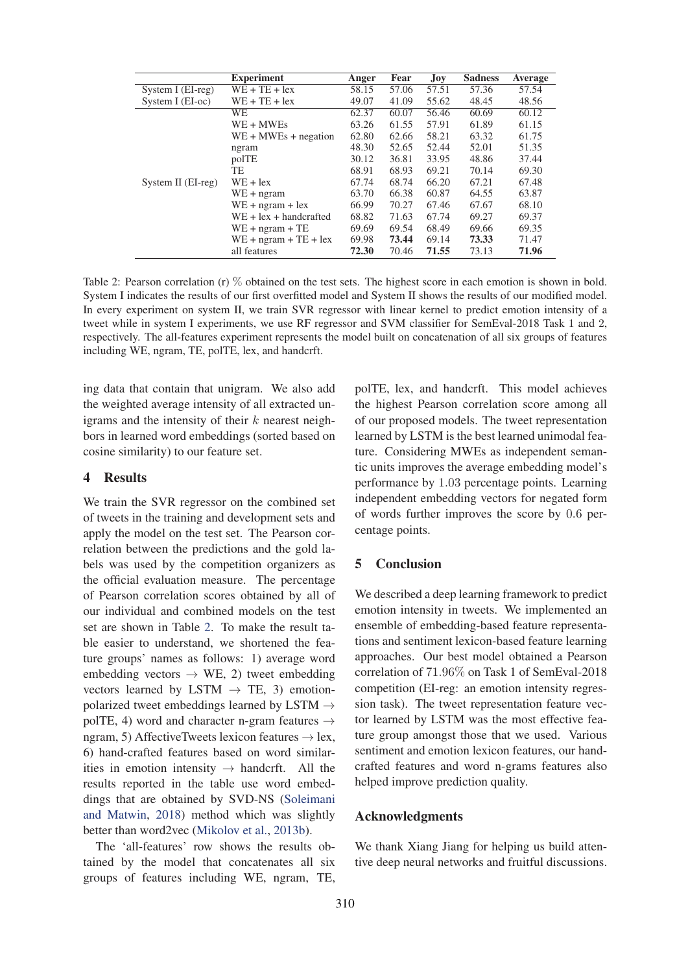|                    | <b>Experiment</b>        | Anger | Fear  | Joy   | <b>Sadness</b> | Average |
|--------------------|--------------------------|-------|-------|-------|----------------|---------|
| System I (EI-reg)  | $WE + TE + lex$          | 58.15 | 57.06 | 57.51 | 57.36          | 57.54   |
| System I $(EI-oc)$ | $WE + TE + lex$          | 49.07 | 41.09 | 55.62 | 48.45          | 48.56   |
| System II (EI-reg) | <b>WE</b>                | 62.37 | 60.07 | 56.46 | 60.69          | 60.12   |
|                    | WE + MWEs                | 63.26 | 61.55 | 57.91 | 61.89          | 61.15   |
|                    | $WE + MWEs + negation$   | 62.80 | 62.66 | 58.21 | 63.32          | 61.75   |
|                    | ngram                    | 48.30 | 52.65 | 52.44 | 52.01          | 51.35   |
|                    | polTE                    | 30.12 | 36.81 | 33.95 | 48.86          | 37.44   |
|                    | TE                       | 68.91 | 68.93 | 69.21 | 70.14          | 69.30   |
|                    | $WE + lex$               | 67.74 | 68.74 | 66.20 | 67.21          | 67.48   |
|                    | $WE + ngram$             | 63.70 | 66.38 | 60.87 | 64.55          | 63.87   |
|                    | $WE + ngram + lex$       | 66.99 | 70.27 | 67.46 | 67.67          | 68.10   |
|                    | $WE + lex + handcrafted$ | 68.82 | 71.63 | 67.74 | 69.27          | 69.37   |
|                    | $WE + ngram + TE$        | 69.69 | 69.54 | 68.49 | 69.66          | 69.35   |
|                    | $WE + ngram + TE + lex$  | 69.98 | 73.44 | 69.14 | 73.33          | 71.47   |
|                    | all features             | 72.30 | 70.46 | 71.55 | 73.13          | 71.96   |

Table 2: Pearson correlation (r) % obtained on the test sets. The highest score in each emotion is shown in bold. System I indicates the results of our first overfitted model and System II shows the results of our modified model. In every experiment on system II, we train SVR regressor with linear kernel to predict emotion intensity of a tweet while in system I experiments, we use RF regressor and SVM classifier for SemEval-2018 Task 1 and 2, respectively. The all-features experiment represents the model built on concatenation of all six groups of features including WE, ngram, TE, polTE, lex, and handcrft.

ing data that contain that unigram. We also add the weighted average intensity of all extracted unigrams and the intensity of their  $k$  nearest neighbors in learned word embeddings (sorted based on cosine similarity) to our feature set.

### 4 Results

We train the SVR regressor on the combined set of tweets in the training and development sets and apply the model on the test set. The Pearson correlation between the predictions and the gold labels was used by the competition organizers as the official evaluation measure. The percentage of Pearson correlation scores obtained by all of our individual and combined models on the test set are shown in Table 2. To make the result table easier to understand, we shortened the feature groups' names as follows: 1) average word embedding vectors  $\rightarrow$  WE, 2) tweet embedding vectors learned by LSTM  $\rightarrow$  TE, 3) emotionpolarized tweet embeddings learned by LSTM  $\rightarrow$ polTE, 4) word and character n-gram features  $\rightarrow$ ngram, 5) AffectiveTweets lexicon features  $\rightarrow$  lex, 6) hand-crafted features based on word similarities in emotion intensity  $\rightarrow$  handcrft. All the results reported in the table use word embeddings that are obtained by SVD-NS (Soleimani and Matwin, 2018) method which was slightly better than word2vec (Mikolov et al., 2013b).

The 'all-features' row shows the results obtained by the model that concatenates all six groups of features including WE, ngram, TE,

polTE, lex, and handcrft. This model achieves the highest Pearson correlation score among all of our proposed models. The tweet representation learned by LSTM is the best learned unimodal feature. Considering MWEs as independent semantic units improves the average embedding model's performance by 1.03 percentage points. Learning independent embedding vectors for negated form of words further improves the score by 0.6 percentage points.

### 5 Conclusion

We described a deep learning framework to predict emotion intensity in tweets. We implemented an ensemble of embedding-based feature representations and sentiment lexicon-based feature learning approaches. Our best model obtained a Pearson correlation of 71.96% on Task 1 of SemEval-2018 competition (EI-reg: an emotion intensity regression task). The tweet representation feature vector learned by LSTM was the most effective feature group amongst those that we used. Various sentiment and emotion lexicon features, our handcrafted features and word n-grams features also helped improve prediction quality.

### Acknowledgments

We thank Xiang Jiang for helping us build attentive deep neural networks and fruitful discussions.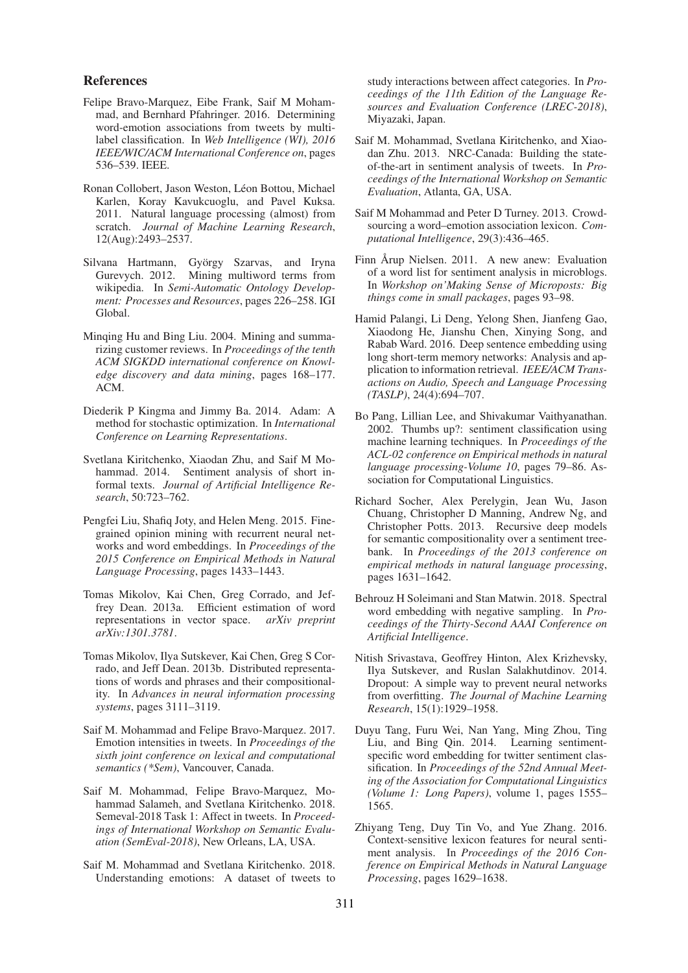#### References

- Felipe Bravo-Marquez, Eibe Frank, Saif M Mohammad, and Bernhard Pfahringer. 2016. Determining word-emotion associations from tweets by multilabel classification. In *Web Intelligence (WI), 2016 IEEE/WIC/ACM International Conference on*, pages 536–539. IEEE.
- Ronan Collobert, Jason Weston, Léon Bottou, Michael Karlen, Koray Kavukcuoglu, and Pavel Kuksa. 2011. Natural language processing (almost) from scratch. *Journal of Machine Learning Research*, 12(Aug):2493–2537.
- Silvana Hartmann, György Szarvas, and Iryna Gurevych. 2012. Mining multiword terms from wikipedia. In *Semi-Automatic Ontology Development: Processes and Resources*, pages 226–258. IGI Global.
- Minqing Hu and Bing Liu. 2004. Mining and summarizing customer reviews. In *Proceedings of the tenth ACM SIGKDD international conference on Knowledge discovery and data mining*, pages 168–177. ACM.
- Diederik P Kingma and Jimmy Ba. 2014. Adam: A method for stochastic optimization. In *International Conference on Learning Representations*.
- Svetlana Kiritchenko, Xiaodan Zhu, and Saif M Mohammad. 2014. Sentiment analysis of short informal texts. *Journal of Artificial Intelligence Research*, 50:723–762.
- Pengfei Liu, Shafiq Joty, and Helen Meng. 2015. Finegrained opinion mining with recurrent neural networks and word embeddings. In *Proceedings of the 2015 Conference on Empirical Methods in Natural Language Processing*, pages 1433–1443.
- Tomas Mikolov, Kai Chen, Greg Corrado, and Jeffrey Dean. 2013a. Efficient estimation of word representations in vector space. *arXiv preprint arXiv:1301.3781*.
- Tomas Mikolov, Ilya Sutskever, Kai Chen, Greg S Corrado, and Jeff Dean. 2013b. Distributed representations of words and phrases and their compositionality. In *Advances in neural information processing systems*, pages 3111–3119.
- Saif M. Mohammad and Felipe Bravo-Marquez. 2017. Emotion intensities in tweets. In *Proceedings of the sixth joint conference on lexical and computational semantics (\*Sem)*, Vancouver, Canada.
- Saif M. Mohammad, Felipe Bravo-Marquez, Mohammad Salameh, and Svetlana Kiritchenko. 2018. Semeval-2018 Task 1: Affect in tweets. In *Proceedings of International Workshop on Semantic Evaluation (SemEval-2018)*, New Orleans, LA, USA.
- Saif M. Mohammad and Svetlana Kiritchenko. 2018. Understanding emotions: A dataset of tweets to

study interactions between affect categories. In *Proceedings of the 11th Edition of the Language Resources and Evaluation Conference (LREC-2018)*, Miyazaki, Japan.

- Saif M. Mohammad, Svetlana Kiritchenko, and Xiaodan Zhu. 2013. NRC-Canada: Building the stateof-the-art in sentiment analysis of tweets. In *Proceedings of the International Workshop on Semantic Evaluation*, Atlanta, GA, USA.
- Saif M Mohammad and Peter D Turney. 2013. Crowdsourcing a word–emotion association lexicon. *Computational Intelligence*, 29(3):436–465.
- Finn Årup Nielsen. 2011. A new anew: Evaluation of a word list for sentiment analysis in microblogs. In *Workshop on'Making Sense of Microposts: Big things come in small packages*, pages 93–98.
- Hamid Palangi, Li Deng, Yelong Shen, Jianfeng Gao, Xiaodong He, Jianshu Chen, Xinying Song, and Rabab Ward. 2016. Deep sentence embedding using long short-term memory networks: Analysis and application to information retrieval. *IEEE/ACM Transactions on Audio, Speech and Language Processing (TASLP)*, 24(4):694–707.
- Bo Pang, Lillian Lee, and Shivakumar Vaithyanathan. 2002. Thumbs up?: sentiment classification using machine learning techniques. In *Proceedings of the ACL-02 conference on Empirical methods in natural language processing-Volume 10*, pages 79–86. Association for Computational Linguistics.
- Richard Socher, Alex Perelygin, Jean Wu, Jason Chuang, Christopher D Manning, Andrew Ng, and Christopher Potts. 2013. Recursive deep models for semantic compositionality over a sentiment treebank. In *Proceedings of the 2013 conference on empirical methods in natural language processing*, pages 1631–1642.
- Behrouz H Soleimani and Stan Matwin. 2018. Spectral word embedding with negative sampling. In *Proceedings of the Thirty-Second AAAI Conference on Artificial Intelligence*.
- Nitish Srivastava, Geoffrey Hinton, Alex Krizhevsky, Ilya Sutskever, and Ruslan Salakhutdinov. 2014. Dropout: A simple way to prevent neural networks from overfitting. *The Journal of Machine Learning Research*, 15(1):1929–1958.
- Duyu Tang, Furu Wei, Nan Yang, Ming Zhou, Ting Liu, and Bing Qin. 2014. Learning sentimentspecific word embedding for twitter sentiment classification. In *Proceedings of the 52nd Annual Meeting of the Association for Computational Linguistics (Volume 1: Long Papers)*, volume 1, pages 1555– 1565.
- Zhiyang Teng, Duy Tin Vo, and Yue Zhang. 2016. Context-sensitive lexicon features for neural sentiment analysis. In *Proceedings of the 2016 Conference on Empirical Methods in Natural Language Processing*, pages 1629–1638.